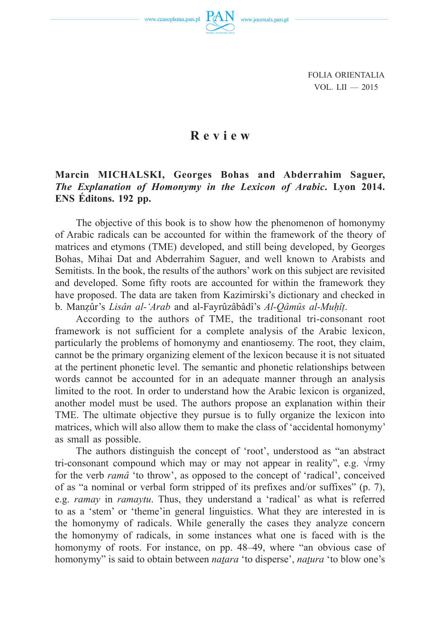

FOLIA ORIENTALIA VOL. LII — 2015

## **Review**

## **Marcin MICHALSKI, Georges Bohas and Abderrahim Saguer,**  *The Explanation of Homonymy in the Lexicon of Arabic***. Lyon 2014. ENS Éditons. 192 pp.**

The objective of this book is to show how the phenomenon of homonymy of Arabic radicals can be accounted for within the framework of the theory of matrices and etymons (TME) developed, and still being developed, by Georges Bohas, Mihai Dat and Abderrahim Saguer, and well known to Arabists and Semitists. In the book, the results of the authors' work on this subject are revisited and developed. Some fifty roots are accounted for within the framework they have proposed. The data are taken from Kazimirski's dictionary and checked in b. Manẓûr's *Lisân al-'Arab* and al-Fayrûzâbâdî's *Al-Qâmûs al-Muḥîṭ*.

According to the authors of TME, the traditional tri-consonant root framework is not sufficient for a complete analysis of the Arabic lexicon, particularly the problems of homonymy and enantiosemy. The root, they claim, cannot be the primary organizing element of the lexicon because it is not situated at the pertinent phonetic level. The semantic and phonetic relationships between words cannot be accounted for in an adequate manner through an analysis limited to the root. In order to understand how the Arabic lexicon is organized, another model must be used. The authors propose an explanation within their TME. The ultimate objective they pursue is to fully organize the lexicon into matrices, which will also allow them to make the class of 'accidental homonymy' as small as possible.

The authors distinguish the concept of 'root', understood as "an abstract tri-consonant compound which may or may not appear in reality", e.g.  $\sqrt{r}$ my for the verb *ramâ* 'to throw', as opposed to the concept of 'radical', conceived of as "a nominal or verbal form stripped of its prefixes and/or suffixes" (p. 7), e.g. *ramay* in *ramaytu*. Thus, they understand a 'radical' as what is referred to as a 'stem' or 'theme'in general linguistics. What they are interested in is the homonymy of radicals. While generally the cases they analyze concern the homonymy of radicals, in some instances what one is faced with is the homonymy of roots. For instance, on pp. 48–49, where "an obvious case of homonymy" is said to obtain between *naṯara* 'to disperse', *naṯura* 'to blow one's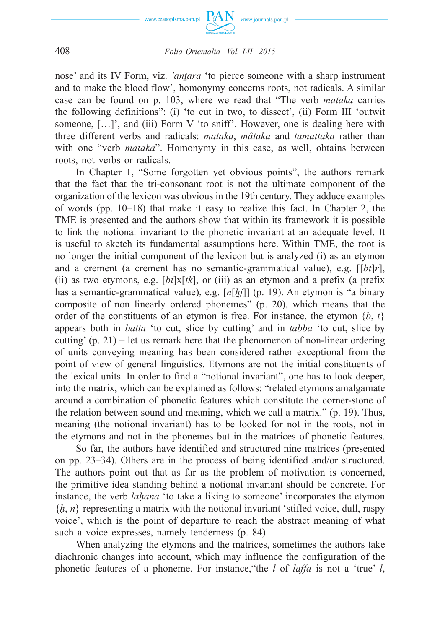

## 408 *Folia Orientalia Vol. LII 2015*

nose' and its IV Form, viz. *'anṯara* 'to pierce someone with a sharp instrument and to make the blood flow', homonymy concerns roots, not radicals. A similar case can be found on p. 103, where we read that "The verb *mataka* carries the following definitions": (i) 'to cut in two, to dissect', (ii) Form III 'outwit someone, […]', and (iii) Form V 'to sniff'. However, one is dealing here with three different verbs and radicals: *mataka*, *mâtaka* and *tamattaka* rather than with one "verb *mataka*". Homonymy in this case, as well, obtains between roots, not verbs or radicals.

In Chapter 1, "Some forgotten yet obvious points", the authors remark that the fact that the tri-consonant root is not the ultimate component of the organization of the lexicon was obvious in the 19th century. They adduce examples of words (pp. 10–18) that make it easy to realize this fact. In Chapter 2, the TME is presented and the authors show that within its framework it is possible to link the notional invariant to the phonetic invariant at an adequate level. It is useful to sketch its fundamental assumptions here. Within TME, the root is no longer the initial component of the lexicon but is analyzed (i) as an etymon and a crement (a crement has no semantic-grammatical value), e.g. [[*bt*]*r*], (ii) as two etymons, e.g. [*bt*]x[*tk*], or (iii) as an etymon and a prefix (a prefix has a semantic-grammatical value), e.g. [*n*[*ḫj*]] (p. 19). An etymon is "a binary composite of non linearly ordered phonemes" (p. 20), which means that the order of the constituents of an etymon is free. For instance, the etymon  $\{b, t\}$ appears both in *batta* 'to cut, slice by cutting' and in *tabba* 'to cut, slice by cutting'  $(p, 21)$  – let us remark here that the phenomenon of non-linear ordering of units conveying meaning has been considered rather exceptional from the point of view of general linguistics. Etymons are not the initial constituents of the lexical units. In order to find a "notional invariant", one has to look deeper, into the matrix, which can be explained as follows: "related etymons amalgamate around a combination of phonetic features which constitute the corner-stone of the relation between sound and meaning, which we call a matrix." (p. 19). Thus, meaning (the notional invariant) has to be looked for not in the roots, not in the etymons and not in the phonemes but in the matrices of phonetic features.

So far, the authors have identified and structured nine matrices (presented on pp. 23–34). Others are in the process of being identified and/or structured. The authors point out that as far as the problem of motivation is concerned, the primitive idea standing behind a notional invariant should be concrete. For instance, the verb *laḥana* 'to take a liking to someone' incorporates the etymon {*ḥ*, *n*} representing a matrix with the notional invariant 'stifled voice, dull, raspy voice', which is the point of departure to reach the abstract meaning of what such a voice expresses, namely tenderness (p. 84).

When analyzing the etymons and the matrices, sometimes the authors take diachronic changes into account, which may influence the configuration of the phonetic features of a phoneme. For instance,"the *l* of *laffa* is not a 'true' *l*,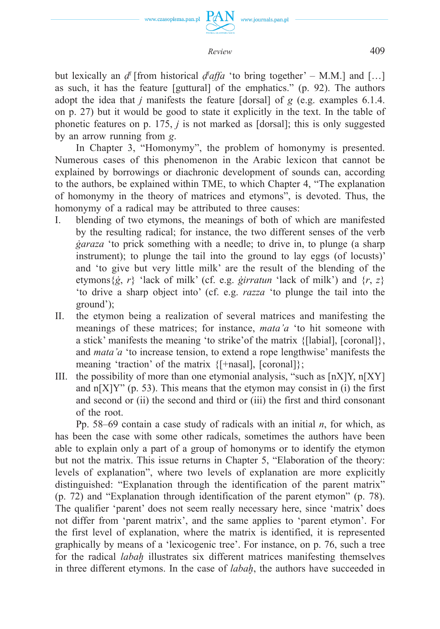



www.journals.pan.pl

but lexically an  $d^l$  [from historical  $d^l$  *affa* 'to bring together' – M.M.] and [...] as such, it has the feature [guttural] of the emphatics." (p. 92). The authors adopt the idea that *j* manifests the feature [dorsal] of *g* (e.g. examples 6.1.4. on p. 27) but it would be good to state it explicitly in the text. In the table of phonetic features on p. 175, *j* is not marked as [dorsal]; this is only suggested by an arrow running from *g*.

In Chapter 3, "Homonymy", the problem of homonymy is presented. Numerous cases of this phenomenon in the Arabic lexicon that cannot be explained by borrowings or diachronic development of sounds can, according to the authors, be explained within TME, to which Chapter 4, "The explanation of homonymy in the theory of matrices and etymons", is devoted. Thus, the homonymy of a radical may be attributed to three causes:

- I. blending of two etymons, the meanings of both of which are manifested by the resulting radical; for instance, the two different senses of the verb *ġaraza* 'to prick something with a needle; to drive in, to plunge (a sharp instrument); to plunge the tail into the ground to lay eggs (of locusts)' and 'to give but very little milk' are the result of the blending of the etymons $\{\dot{g}, r\}$  'lack of milk' (cf. e.g. *ġirratun* 'lack of milk') and  $\{r, z\}$ 'to drive a sharp object into' (cf. e.g. *razza* 'to plunge the tail into the ground');
- II. the etymon being a realization of several matrices and manifesting the meanings of these matrices; for instance, *mata'a* 'to hit someone with a stick' manifests the meaning 'to strike'of the matrix {[labial], [coronal]}, and *mata'a* 'to increase tension, to extend a rope lengthwise' manifests the meaning 'traction' of the matrix {[+nasal], [coronal]};
- III. the possibility of more than one etymonial analysis, "such as  $[nX]Y$ ,  $n[XY]$ and  $n[X]Y''$  (p. 53). This means that the etymon may consist in (i) the first and second or (ii) the second and third or (iii) the first and third consonant of the root.

Pp. 58–69 contain a case study of radicals with an initial *n*, for which, as has been the case with some other radicals, sometimes the authors have been able to explain only a part of a group of homonyms or to identify the etymon but not the matrix. This issue returns in Chapter 5, "Elaboration of the theory: levels of explanation", where two levels of explanation are more explicitly distinguished: "Explanation through the identification of the parent matrix" (p. 72) and "Explanation through identification of the parent etymon" (p. 78). The qualifier 'parent' does not seem really necessary here, since 'matrix' does not differ from 'parent matrix', and the same applies to 'parent etymon'. For the first level of explanation, where the matrix is identified, it is represented graphically by means of a 'lexicogenic tree'. For instance, on p. 76, such a tree for the radical *labah* illustrates six different matrices manifesting themselves in three different etymons. In the case of *labaḫ*, the authors have succeeded in